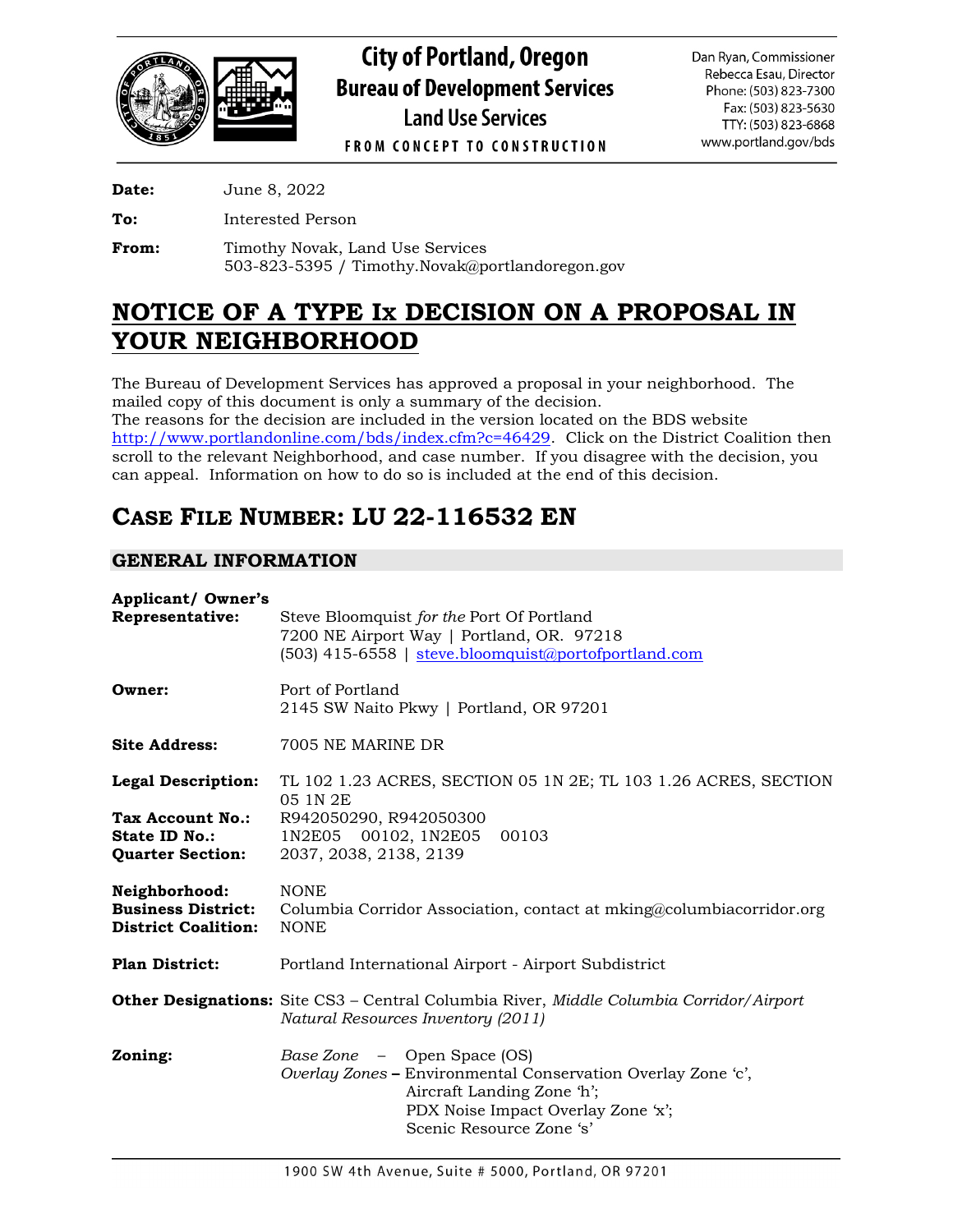

**City of Portland, Oregon Bureau of Development Services Land Use Services** 

Phone: (503) 823-7300 Fax: (503) 823-5630 TTY: (503) 823-6868 www.portland.gov/bds

Dan Ryan, Commissioner Rebecca Esau, Director

**FROM CONCEPT TO CONSTRUCTION** 

**Date:** June 8, 2022

**To:** Interested Person

From: Timothy Novak, Land Use Services 503-823-5395 / Timothy.Novak@portlandoregon.gov

# **NOTICE OF A TYPE IX DECISION ON A PROPOSAL IN YOUR NEIGHBORHOOD**

The Bureau of Development Services has approved a proposal in your neighborhood. The mailed copy of this document is only a summary of the decision. The reasons for the decision are included in the version located on the BDS website [http://www.portlandonline.com/bds/index.cfm?c=46429.](http://www.portlandonline.com/bds/index.cfm?c=46429) Click on the District Coalition then scroll to the relevant Neighborhood, and case number. If you disagree with the decision, you can appeal. Information on how to do so is included at the end of this decision.

# **CASE FILE NUMBER: LU 22-116532 EN**

# **GENERAL INFORMATION**

| <b>Applicant/ Owner's</b><br>Representative:                             | Steve Bloomquist for the Port Of Portland<br>7200 NE Airport Way   Portland, OR. 97218<br>(503) 415-6558   steve.bloomquist@portofportland.com                                                     |  |  |  |
|--------------------------------------------------------------------------|----------------------------------------------------------------------------------------------------------------------------------------------------------------------------------------------------|--|--|--|
| Owner:                                                                   | Port of Portland<br>2145 SW Naito Pkwy   Portland, OR 97201                                                                                                                                        |  |  |  |
| <b>Site Address:</b>                                                     | 7005 NE MARINE DR                                                                                                                                                                                  |  |  |  |
| <b>Legal Description:</b>                                                | TL 102 1.23 ACRES, SECTION 05 1N 2E; TL 103 1.26 ACRES, SECTION<br>05 1N 2E                                                                                                                        |  |  |  |
| <b>Tax Account No.:</b><br>State ID No.:<br><b>Quarter Section:</b>      | R942050290, R942050300<br>00103<br>1N2E05 00102, 1N2E05<br>2037, 2038, 2138, 2139                                                                                                                  |  |  |  |
| Neighborhood:<br><b>Business District:</b><br><b>District Coalition:</b> | <b>NONE</b><br>Columbia Corridor Association, contact at mking@columbiacorridor.org<br><b>NONE</b>                                                                                                 |  |  |  |
| <b>Plan District:</b>                                                    | Portland International Airport - Airport Subdistrict                                                                                                                                               |  |  |  |
|                                                                          | <b>Other Designations:</b> Site CS3 - Central Columbia River, Middle Columbia Corridor/Airport<br>Natural Resources Inventory (2011)                                                               |  |  |  |
| Zoning:                                                                  | <i>Base Zone</i> – Open Space (OS)<br>Overlay Zones - Environmental Conservation Overlay Zone 'c',<br>Aircraft Landing Zone 'h';<br>PDX Noise Impact Overlay Zone 'x';<br>Scenic Resource Zone 's' |  |  |  |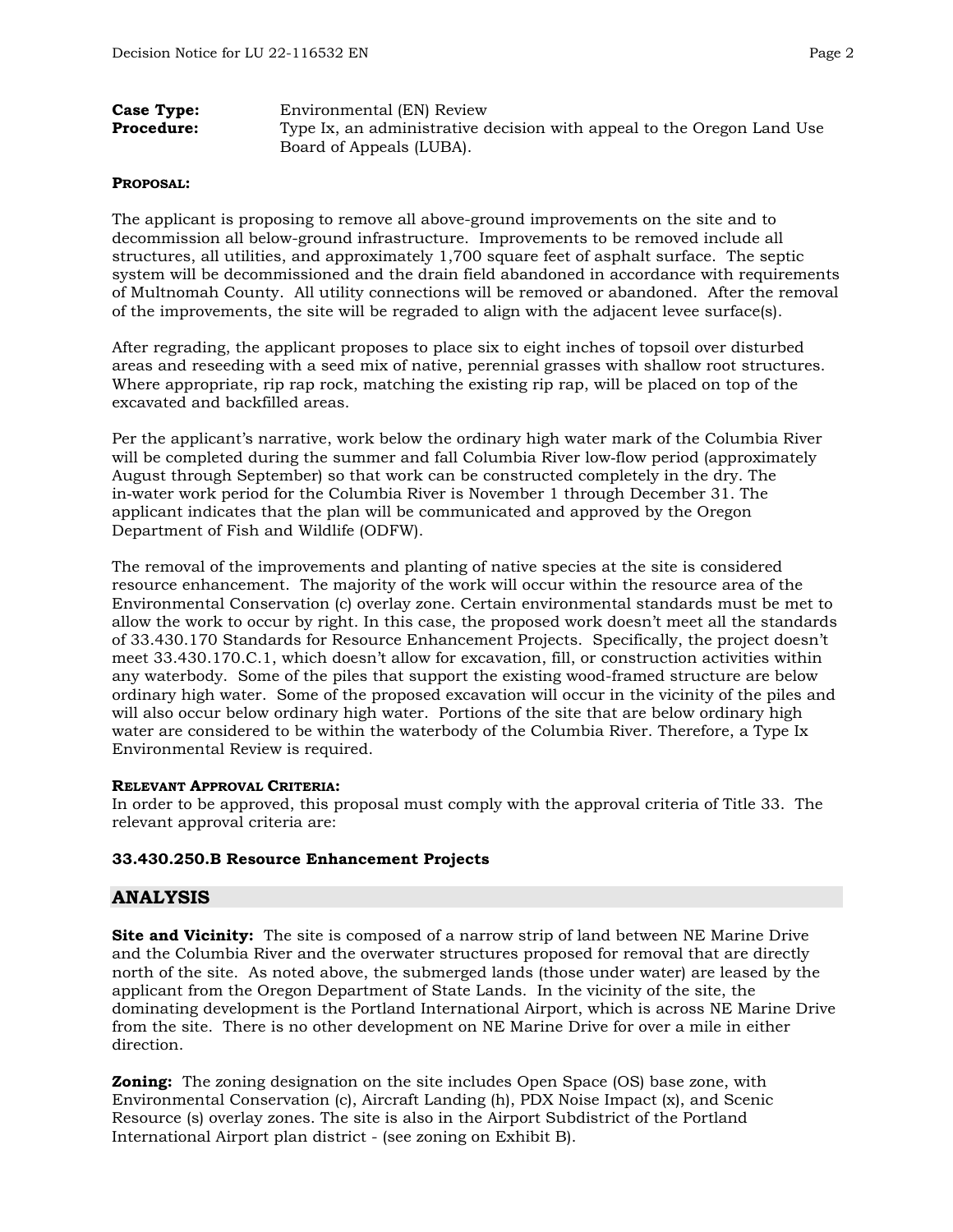| Case Type:        | Environmental (EN) Review                                              |  |  |
|-------------------|------------------------------------------------------------------------|--|--|
| <b>Procedure:</b> | Type Ix, an administrative decision with appeal to the Oregon Land Use |  |  |
|                   | Board of Appeals (LUBA).                                               |  |  |

### **PROPOSAL:**

The applicant is proposing to remove all above-ground improvements on the site and to decommission all below-ground infrastructure. Improvements to be removed include all structures, all utilities, and approximately 1,700 square feet of asphalt surface. The septic system will be decommissioned and the drain field abandoned in accordance with requirements of Multnomah County. All utility connections will be removed or abandoned. After the removal of the improvements, the site will be regraded to align with the adjacent levee surface(s).

After regrading, the applicant proposes to place six to eight inches of topsoil over disturbed areas and reseeding with a seed mix of native, perennial grasses with shallow root structures. Where appropriate, rip rap rock, matching the existing rip rap, will be placed on top of the excavated and backfilled areas.

Per the applicant's narrative, work below the ordinary high water mark of the Columbia River will be completed during the summer and fall Columbia River low-flow period (approximately August through September) so that work can be constructed completely in the dry. The in-water work period for the Columbia River is November 1 through December 31. The applicant indicates that the plan will be communicated and approved by the Oregon Department of Fish and Wildlife (ODFW).

The removal of the improvements and planting of native species at the site is considered resource enhancement. The majority of the work will occur within the resource area of the Environmental Conservation (c) overlay zone. Certain environmental standards must be met to allow the work to occur by right. In this case, the proposed work doesn't meet all the standards of 33.430.170 Standards for Resource Enhancement Projects. Specifically, the project doesn't meet 33.430.170.C.1, which doesn't allow for excavation, fill, or construction activities within any waterbody. Some of the piles that support the existing wood-framed structure are below ordinary high water. Some of the proposed excavation will occur in the vicinity of the piles and will also occur below ordinary high water. Portions of the site that are below ordinary high water are considered to be within the waterbody of the Columbia River. Therefore, a Type Ix Environmental Review is required.

#### **RELEVANT APPROVAL CRITERIA:**

In order to be approved, this proposal must comply with the approval criteria of Title 33. The relevant approval criteria are:

## **33.430.250.B Resource Enhancement Projects**

## **ANALYSIS**

**Site and Vicinity:** The site is composed of a narrow strip of land between NE Marine Drive and the Columbia River and the overwater structures proposed for removal that are directly north of the site. As noted above, the submerged lands (those under water) are leased by the applicant from the Oregon Department of State Lands. In the vicinity of the site, the dominating development is the Portland International Airport, which is across NE Marine Drive from the site. There is no other development on NE Marine Drive for over a mile in either direction.

**Zoning:** The zoning designation on the site includes Open Space (OS) base zone, with Environmental Conservation (c), Aircraft Landing (h), PDX Noise Impact (x), and Scenic Resource (s) overlay zones. The site is also in the Airport Subdistrict of the Portland International Airport plan district - (see zoning on Exhibit B).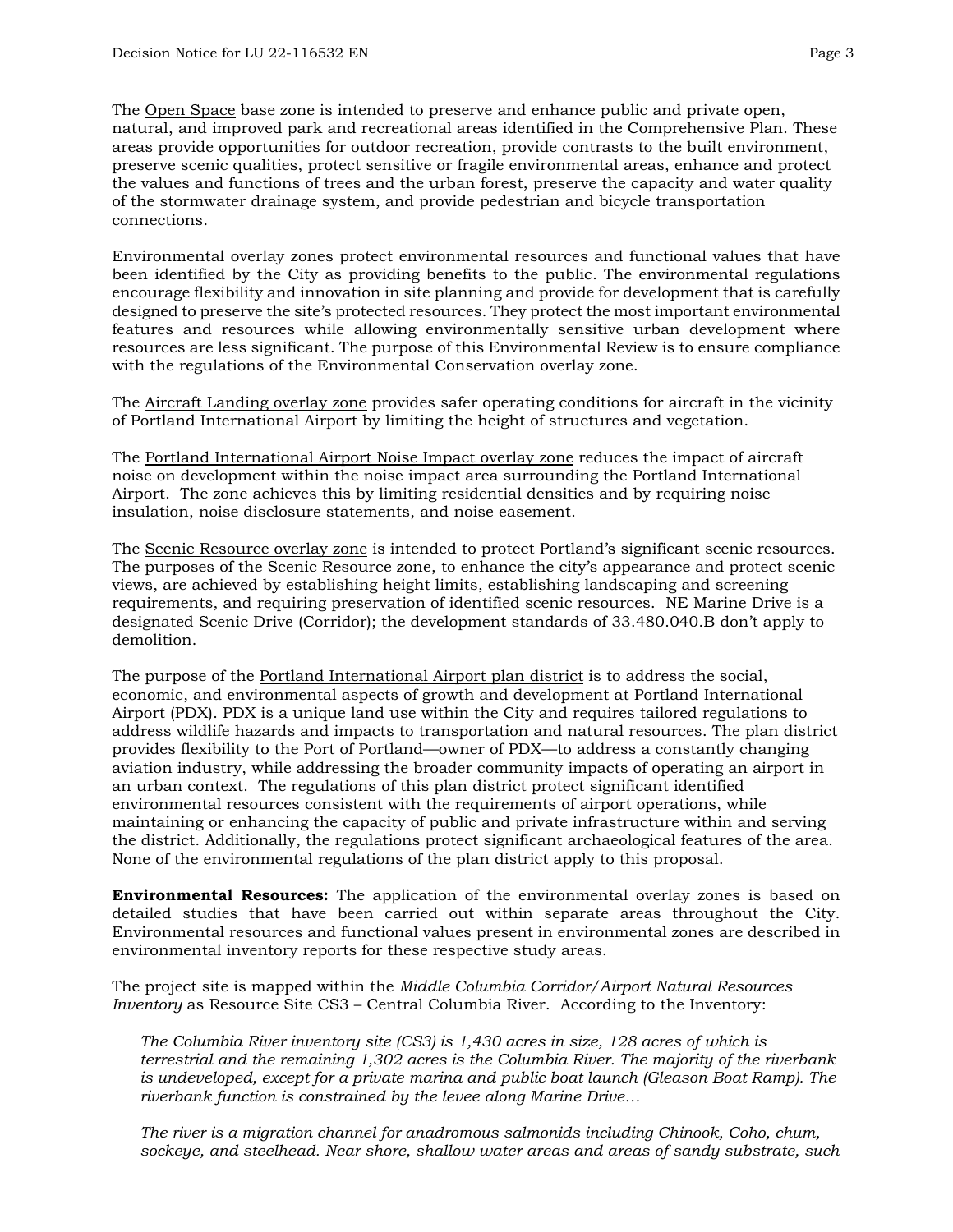The Open Space base zone is intended to preserve and enhance public and private open, natural, and improved park and recreational areas identified in the Comprehensive Plan. These areas provide opportunities for outdoor recreation, provide contrasts to the built environment, preserve scenic qualities, protect sensitive or fragile environmental areas, enhance and protect the values and functions of trees and the urban forest, preserve the capacity and water quality of the stormwater drainage system, and provide pedestrian and bicycle transportation connections.

Environmental overlay zones protect environmental resources and functional values that have been identified by the City as providing benefits to the public. The environmental regulations encourage flexibility and innovation in site planning and provide for development that is carefully designed to preserve the site's protected resources. They protect the most important environmental features and resources while allowing environmentally sensitive urban development where resources are less significant. The purpose of this Environmental Review is to ensure compliance with the regulations of the Environmental Conservation overlay zone.

The Aircraft Landing overlay zone provides safer operating conditions for aircraft in the vicinity of Portland International Airport by limiting the height of structures and vegetation.

The Portland International Airport Noise Impact overlay zone reduces the impact of aircraft noise on development within the noise impact area surrounding the Portland International Airport. The zone achieves this by limiting residential densities and by requiring noise insulation, noise disclosure statements, and noise easement.

The Scenic Resource overlay zone is intended to protect Portland's significant scenic resources. The purposes of the Scenic Resource zone, to enhance the city's appearance and protect scenic views, are achieved by establishing height limits, establishing landscaping and screening requirements, and requiring preservation of identified scenic resources. NE Marine Drive is a designated Scenic Drive (Corridor); the development standards of 33.480.040.B don't apply to demolition.

The purpose of the Portland International Airport plan district is to address the social, economic, and environmental aspects of growth and development at Portland International Airport (PDX). PDX is a unique land use within the City and requires tailored regulations to address wildlife hazards and impacts to transportation and natural resources. The plan district provides flexibility to the Port of Portland—owner of PDX—to address a constantly changing aviation industry, while addressing the broader community impacts of operating an airport in an urban context. The regulations of this plan district protect significant identified environmental resources consistent with the requirements of airport operations, while maintaining or enhancing the capacity of public and private infrastructure within and serving the district. Additionally, the regulations protect significant archaeological features of the area. None of the environmental regulations of the plan district apply to this proposal.

**Environmental Resources:** The application of the environmental overlay zones is based on detailed studies that have been carried out within separate areas throughout the City. Environmental resources and functional values present in environmental zones are described in environmental inventory reports for these respective study areas.

The project site is mapped within the *Middle Columbia Corridor/Airport Natural Resources Inventory* as Resource Site CS3 – Central Columbia River. According to the Inventory:

*The Columbia River inventory site (CS3) is 1,430 acres in size, 128 acres of which is terrestrial and the remaining 1,302 acres is the Columbia River. The majority of the riverbank is undeveloped, except for a private marina and public boat launch (Gleason Boat Ramp). The riverbank function is constrained by the levee along Marine Drive…*

*The river is a migration channel for anadromous salmonids including Chinook, Coho, chum, sockeye, and steelhead. Near shore, shallow water areas and areas of sandy substrate, such*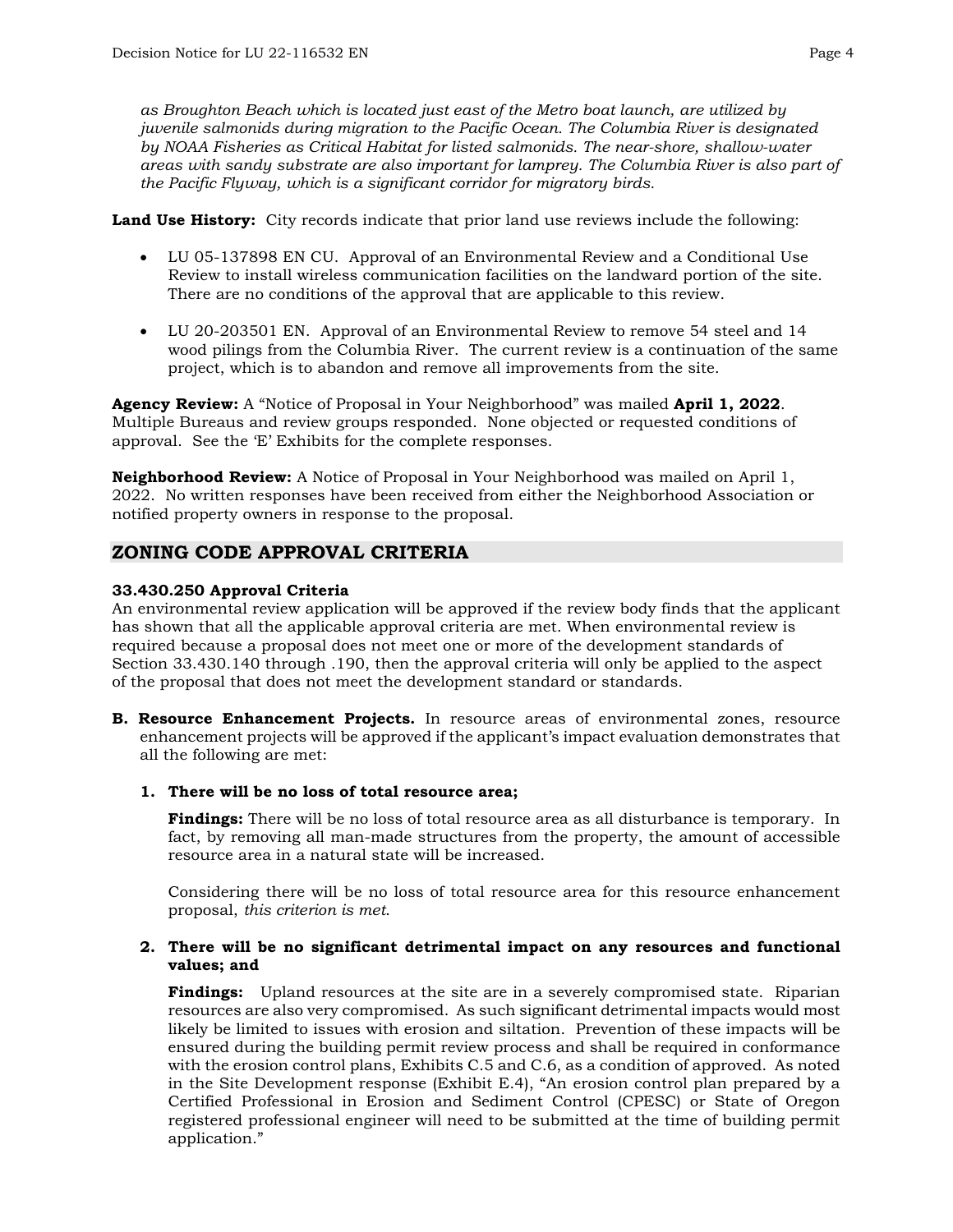*as Broughton Beach which is located just east of the Metro boat launch, are utilized by juvenile salmonids during migration to the Pacific Ocean. The Columbia River is designated by NOAA Fisheries as Critical Habitat for listed salmonids. The near-shore, shallow-water areas with sandy substrate are also important for lamprey. The Columbia River is also part of the Pacific Flyway, which is a significant corridor for migratory birds.*

**Land Use History:** City records indicate that prior land use reviews include the following:

- LU 05-137898 EN CU. Approval of an Environmental Review and a Conditional Use Review to install wireless communication facilities on the landward portion of the site. There are no conditions of the approval that are applicable to this review.
- LU 20-203501 EN. Approval of an Environmental Review to remove 54 steel and 14 wood pilings from the Columbia River. The current review is a continuation of the same project, which is to abandon and remove all improvements from the site.

**Agency Review:** A "Notice of Proposal in Your Neighborhood" was mailed **April 1, 2022**. Multiple Bureaus and review groups responded. None objected or requested conditions of approval. See the 'E' Exhibits for the complete responses.

**Neighborhood Review:** A Notice of Proposal in Your Neighborhood was mailed on April 1, 2022. No written responses have been received from either the Neighborhood Association or notified property owners in response to the proposal.

# **ZONING CODE APPROVAL CRITERIA**

#### **33.430.250 Approval Criteria**

An environmental review application will be approved if the review body finds that the applicant has shown that all the applicable approval criteria are met. When environmental review is required because a proposal does not meet one or more of the development standards of Section 33.430.140 through .190, then the approval criteria will only be applied to the aspect of the proposal that does not meet the development standard or standards.

**B. Resource Enhancement Projects.** In resource areas of environmental zones, resource enhancement projects will be approved if the applicant's impact evaluation demonstrates that all the following are met:

## **1. There will be no loss of total resource area;**

**Findings:** There will be no loss of total resource area as all disturbance is temporary. In fact, by removing all man-made structures from the property, the amount of accessible resource area in a natural state will be increased.

Considering there will be no loss of total resource area for this resource enhancement proposal, *this criterion is met*.

#### **2. There will be no significant detrimental impact on any resources and functional values; and**

**Findings:** Upland resources at the site are in a severely compromised state. Riparian resources are also very compromised. As such significant detrimental impacts would most likely be limited to issues with erosion and siltation. Prevention of these impacts will be ensured during the building permit review process and shall be required in conformance with the erosion control plans, Exhibits C.5 and C.6, as a condition of approved. As noted in the Site Development response (Exhibit E.4), "An erosion control plan prepared by a Certified Professional in Erosion and Sediment Control (CPESC) or State of Oregon registered professional engineer will need to be submitted at the time of building permit application."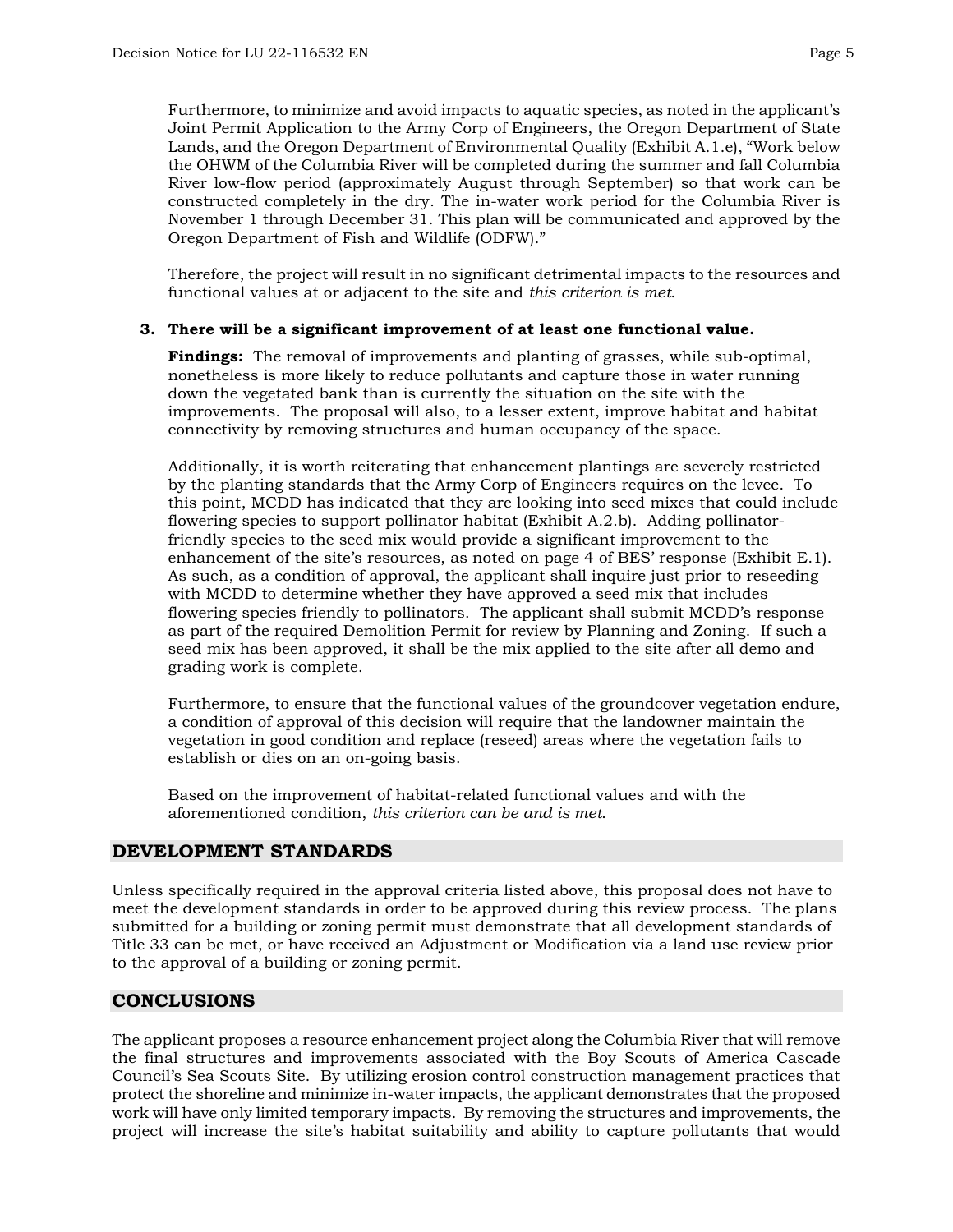Furthermore, to minimize and avoid impacts to aquatic species, as noted in the applicant's Joint Permit Application to the Army Corp of Engineers, the Oregon Department of State Lands, and the Oregon Department of Environmental Quality (Exhibit A.1.e), "Work below the OHWM of the Columbia River will be completed during the summer and fall Columbia River low-flow period (approximately August through September) so that work can be constructed completely in the dry. The in-water work period for the Columbia River is November 1 through December 31. This plan will be communicated and approved by the Oregon Department of Fish and Wildlife (ODFW)."

Therefore, the project will result in no significant detrimental impacts to the resources and functional values at or adjacent to the site and *this criterion is met*.

## **3. There will be a significant improvement of at least one functional value.**

**Findings:** The removal of improvements and planting of grasses, while sub-optimal, nonetheless is more likely to reduce pollutants and capture those in water running down the vegetated bank than is currently the situation on the site with the improvements. The proposal will also, to a lesser extent, improve habitat and habitat connectivity by removing structures and human occupancy of the space.

Additionally, it is worth reiterating that enhancement plantings are severely restricted by the planting standards that the Army Corp of Engineers requires on the levee. To this point, MCDD has indicated that they are looking into seed mixes that could include flowering species to support pollinator habitat (Exhibit A.2.b). Adding pollinatorfriendly species to the seed mix would provide a significant improvement to the enhancement of the site's resources, as noted on page 4 of BES' response (Exhibit E.1). As such, as a condition of approval, the applicant shall inquire just prior to reseeding with MCDD to determine whether they have approved a seed mix that includes flowering species friendly to pollinators. The applicant shall submit MCDD's response as part of the required Demolition Permit for review by Planning and Zoning. If such a seed mix has been approved, it shall be the mix applied to the site after all demo and grading work is complete.

Furthermore, to ensure that the functional values of the groundcover vegetation endure, a condition of approval of this decision will require that the landowner maintain the vegetation in good condition and replace (reseed) areas where the vegetation fails to establish or dies on an on-going basis.

Based on the improvement of habitat-related functional values and with the aforementioned condition, *this criterion can be and is met*.

# **DEVELOPMENT STANDARDS**

Unless specifically required in the approval criteria listed above, this proposal does not have to meet the development standards in order to be approved during this review process. The plans submitted for a building or zoning permit must demonstrate that all development standards of Title 33 can be met, or have received an Adjustment or Modification via a land use review prior to the approval of a building or zoning permit.

# **CONCLUSIONS**

The applicant proposes a resource enhancement project along the Columbia River that will remove the final structures and improvements associated with the Boy Scouts of America Cascade Council's Sea Scouts Site. By utilizing erosion control construction management practices that protect the shoreline and minimize in-water impacts, the applicant demonstrates that the proposed work will have only limited temporary impacts. By removing the structures and improvements, the project will increase the site's habitat suitability and ability to capture pollutants that would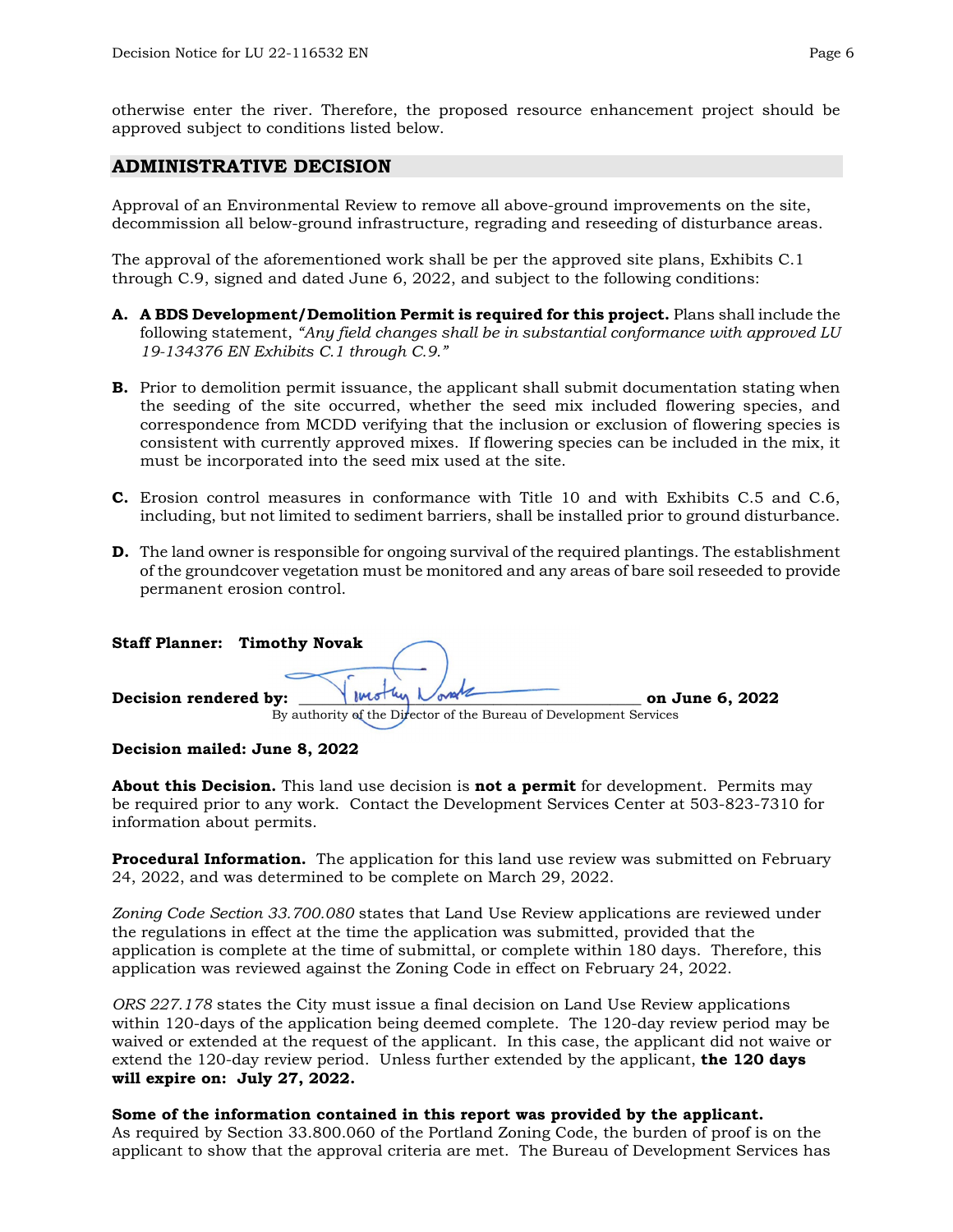otherwise enter the river. Therefore, the proposed resource enhancement project should be approved subject to conditions listed below.

## **ADMINISTRATIVE DECISION**

Approval of an Environmental Review to remove all above-ground improvements on the site, decommission all below-ground infrastructure, regrading and reseeding of disturbance areas.

The approval of the aforementioned work shall be per the approved site plans, Exhibits C.1 through C.9, signed and dated June 6, 2022, and subject to the following conditions:

- **A. A BDS Development/Demolition Permit is required for this project.** Plans shall include the following statement, *"Any field changes shall be in substantial conformance with approved LU 19-134376 EN Exhibits C.1 through C.9."*
- **B.** Prior to demolition permit issuance, the applicant shall submit documentation stating when the seeding of the site occurred, whether the seed mix included flowering species, and correspondence from MCDD verifying that the inclusion or exclusion of flowering species is consistent with currently approved mixes. If flowering species can be included in the mix, it must be incorporated into the seed mix used at the site.
- **C.** Erosion control measures in conformance with Title 10 and with Exhibits C.5 and C.6, including, but not limited to sediment barriers, shall be installed prior to ground disturbance.
- **D.** The land owner is responsible for ongoing survival of the required plantings. The establishment of the groundcover vegetation must be monitored and any areas of bare soil reseeded to provide permanent erosion control.

|                       | <b>Staff Planner: Timothy Novak</b> |                                                                    |                 |
|-----------------------|-------------------------------------|--------------------------------------------------------------------|-----------------|
| Decision rendered by: |                                     | Verothy Norsk                                                      | on June 6, 2022 |
|                       |                                     | By authority of the Director of the Bureau of Development Services |                 |

## **Decision mailed: June 8, 2022**

**About this Decision.** This land use decision is **not a permit** for development. Permits may be required prior to any work. Contact the Development Services Center at 503-823-7310 for information about permits.

**Procedural Information.** The application for this land use review was submitted on February 24, 2022, and was determined to be complete on March 29, 2022.

*Zoning Code Section 33.700.080* states that Land Use Review applications are reviewed under the regulations in effect at the time the application was submitted, provided that the application is complete at the time of submittal, or complete within 180 days. Therefore, this application was reviewed against the Zoning Code in effect on February 24, 2022.

*ORS 227.178* states the City must issue a final decision on Land Use Review applications within 120-days of the application being deemed complete. The 120-day review period may be waived or extended at the request of the applicant. In this case, the applicant did not waive or extend the 120-day review period. Unless further extended by the applicant, **the 120 days will expire on: July 27, 2022.**

## **Some of the information contained in this report was provided by the applicant.**

As required by Section 33.800.060 of the Portland Zoning Code, the burden of proof is on the applicant to show that the approval criteria are met. The Bureau of Development Services has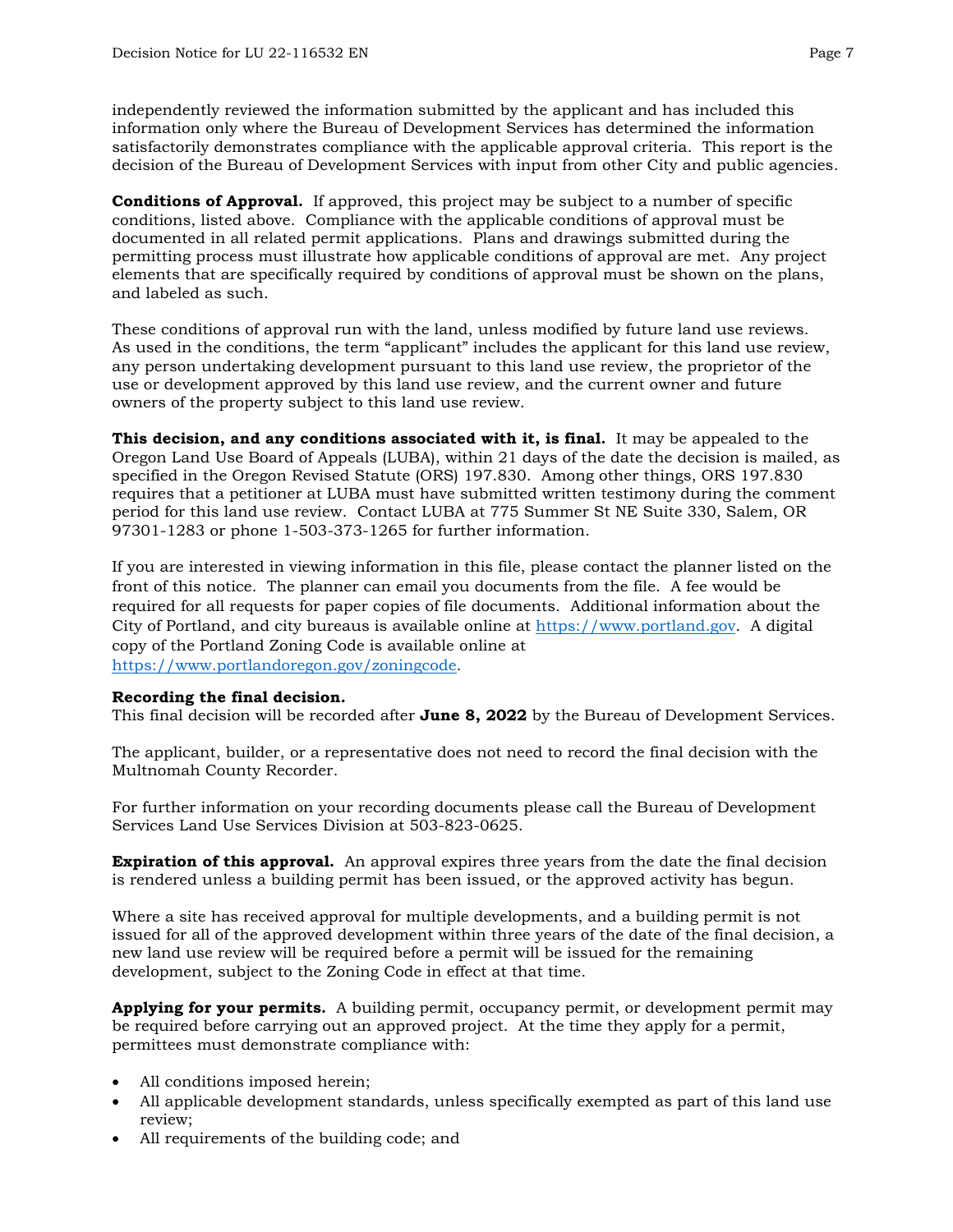independently reviewed the information submitted by the applicant and has included this

information only where the Bureau of Development Services has determined the information satisfactorily demonstrates compliance with the applicable approval criteria. This report is the decision of the Bureau of Development Services with input from other City and public agencies.

**Conditions of Approval.** If approved, this project may be subject to a number of specific conditions, listed above. Compliance with the applicable conditions of approval must be documented in all related permit applications. Plans and drawings submitted during the permitting process must illustrate how applicable conditions of approval are met. Any project elements that are specifically required by conditions of approval must be shown on the plans, and labeled as such.

These conditions of approval run with the land, unless modified by future land use reviews. As used in the conditions, the term "applicant" includes the applicant for this land use review, any person undertaking development pursuant to this land use review, the proprietor of the use or development approved by this land use review, and the current owner and future owners of the property subject to this land use review.

**This decision, and any conditions associated with it, is final.** It may be appealed to the Oregon Land Use Board of Appeals (LUBA), within 21 days of the date the decision is mailed, as specified in the Oregon Revised Statute (ORS) 197.830. Among other things, ORS 197.830 requires that a petitioner at LUBA must have submitted written testimony during the comment period for this land use review. Contact LUBA at 775 Summer St NE Suite 330, Salem, OR 97301-1283 or phone 1-503-373-1265 for further information.

If you are interested in viewing information in this file, please contact the planner listed on the front of this notice. The planner can email you documents from the file. A fee would be required for all requests for paper copies of file documents. Additional information about the City of Portland, and city bureaus is available online at [https://www.portland.gov.](https://www.portland.gov/) A digital copy of the Portland Zoning Code is available online at [https://www.portlandoregon.gov/zoningcode.](https://www.portlandoregon.gov/zoningcode)

## **Recording the final decision.**

This final decision will be recorded after **June 8, 2022** by the Bureau of Development Services.

The applicant, builder, or a representative does not need to record the final decision with the Multnomah County Recorder.

For further information on your recording documents please call the Bureau of Development Services Land Use Services Division at 503-823-0625.

**Expiration of this approval.** An approval expires three years from the date the final decision is rendered unless a building permit has been issued, or the approved activity has begun.

Where a site has received approval for multiple developments, and a building permit is not issued for all of the approved development within three years of the date of the final decision, a new land use review will be required before a permit will be issued for the remaining development, subject to the Zoning Code in effect at that time.

**Applying for your permits.** A building permit, occupancy permit, or development permit may be required before carrying out an approved project. At the time they apply for a permit, permittees must demonstrate compliance with:

- All conditions imposed herein;
- All applicable development standards, unless specifically exempted as part of this land use review;
- All requirements of the building code; and